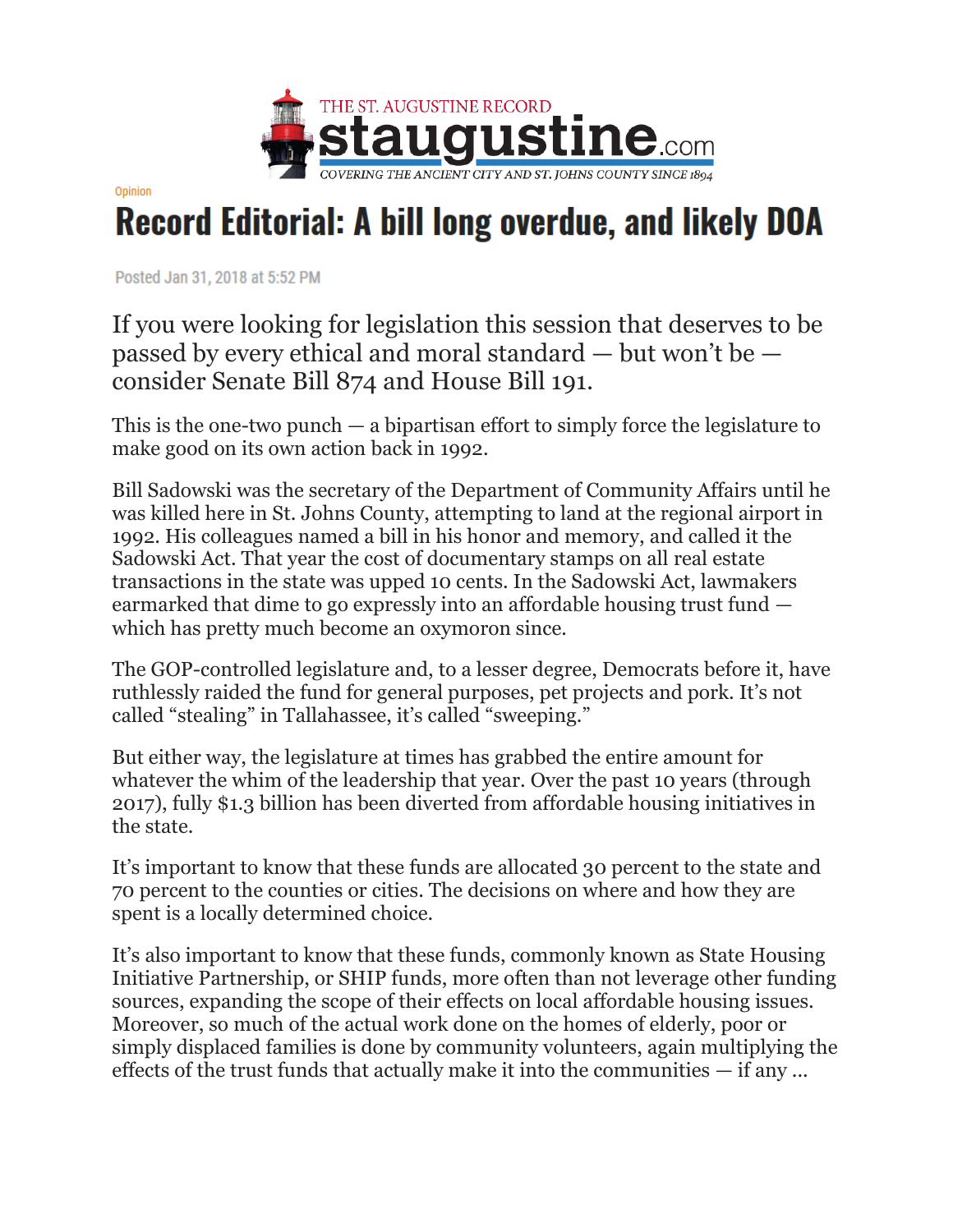

Opinion

## **Record Editorial: A bill long overdue, and likely DOA**

Posted Jan 31, 2018 at 5:52 PM

If you were looking for legislation this session that deserves to be passed by every ethical and moral standard — but won't be consider Senate Bill 874 and House Bill 191.

This is the one-two punch — a bipartisan effort to simply force the legislature to make good on its own action back in 1992.

Bill Sadowski was the secretary of the Department of Community Affairs until he was killed here in St. Johns County, attempting to land at the regional airport in 1992. His colleagues named a bill in his honor and memory, and called it the Sadowski Act. That year the cost of documentary stamps on all real estate transactions in the state was upped 10 cents. In the Sadowski Act, lawmakers earmarked that dime to go expressly into an affordable housing trust fund which has pretty much become an oxymoron since.

The GOP-controlled legislature and, to a lesser degree, Democrats before it, have ruthlessly raided the fund for general purposes, pet projects and pork. It's not called "stealing" in Tallahassee, it's called "sweeping."

But either way, the legislature at times has grabbed the entire amount for whatever the whim of the leadership that year. Over the past 10 years (through 2017), fully \$1.3 billion has been diverted from affordable housing initiatives in the state.

It's important to know that these funds are allocated 30 percent to the state and 70 percent to the counties or cities. The decisions on where and how they are spent is a locally determined choice.

It's also important to know that these funds, commonly known as State Housing Initiative Partnership, or SHIP funds, more often than not leverage other funding sources, expanding the scope of their effects on local affordable housing issues. Moreover, so much of the actual work done on the homes of elderly, poor or simply displaced families is done by community volunteers, again multiplying the effects of the trust funds that actually make it into the communities — if any ...